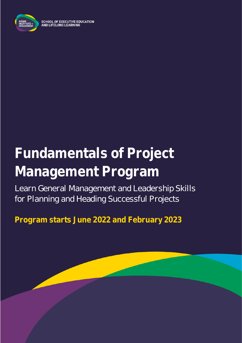

**SCHOOL OF EXECUTIVE EDUCATION** AND LIFELONG LEARNING

# **Fundamentals of Project Management Program**

Learn General Management and Leadership Skills for Planning and Heading Successful Projects

**Program starts June 2022 and February 2023**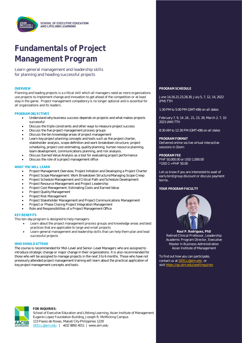

## **Fundamentals of Project Management Program**

Learn general management and leadership skills for planning and heading successful projects

Planning and leading projects is a critical skill which all managers need as more organizations use projects to implement change and innovation to get ahead of the competition or at least stay in the game. Project management competency is no longer optional and is essential for all organizations and its leaders.

#### **PROGRAM OBJECTIVES**

- Understand why business success depends on projects and what makes projects successful
- Discuss the triple constraints and other ways to measure project success
- Discuss the five project management process groups
- Discuss the ten knowledge areas of project management
- Learn key project planning concepts and tools such as the project charter, stakeholder analysis, scope definition and work breakdown structure, project scheduling, project cost estimating, quality planning, human resource planning, team development, communications planning, and risk analysis.
- Discuss Earned Value Analysis as a tool for evaluating project performance
- Discuss the role of a project management office

#### **WHAT YOU WILL LEARN**

- Project Management Overview, Project Initiation and Developing a Project Charter
- Project Scope Management: Work Breakdown Structure/Managing Scope Creep
- Project Schedule Management and Critical Path and Schedule Development
- Project Resource Management and Project Leadership
- Project Cost Management: Estimating Costs and Earned Value
- Project Quality Management
- Project Risk Management
- Project Stakeholder Management and Project Communications Management
- Project or Phase Closing Project Integration Management
- Role and Responsibilities of a Project Management Office

#### **KEY BENEFITS**

- This ten-day program is designed to help managers:
	- Learn about the project management process groups and knowledge areas and best practices that are applicable to large and small projects
	- Learn general management and leadership skills that can help them plan and lead successful projects

#### **WHO SHOULD ATTEND**

The course is recommended for Mid-Level and Senior-Level Managers who are assigned to introduce strategic change or major change in their organizations. It is also recommended for those who will be assigned to manage projects in the next 3 to 6 months. Those who have not previously attended project management training will learn about the practical application of key project management concepts and tools.

#### **OVERVIEW PROGRAM SCHEDULE**

June 14,16,21,23,28,30, July 5, 7, 12, 14, 2022 (PM) TTH

1:30 PM to 5:00 PM (GMT+08) on all dates

February 7, 9, 14 ,16 , 21, 23, 28, March 2, 7, 10 2023 (AM) TTH

8:30 AM to 12:30 PM (GMT+08) on all dates

**PROGRAM FORMAT** Delivered online via live virtual interactive sessions in Zoom

**PROGRAM FEE** PHP 50,000.00 or USD 1,000.00 \*USD 1 = PHP 50.00

Let us know if you are interested to avail of early bird/group discount or discuss payment terms.

#### **YOUR PROGRAM FACULTY**



**Raul P. Rodriguez, PhD** Retired Clinical Professor, Leadership Academic Program Director, Executive Master in Business Administration Asian Institute of Management

To find out how you can participate, contact us at **SEELL@aim.edu** or visit<https://go.aim.edu/seellinquiries>



#### **FOR INQUIRIES:**

School of Executive Education and Lifelong Learning, Asian Institute of Management Eugenio Lopez Foundation Building, Joseph R. McMicking Campus 123 Paseo de Roxas, Makati City Philippines 1229 [SEELL@aim.edu](mailto:SEELL@aim.edu) | +632 8892 4011 | www.aim.edu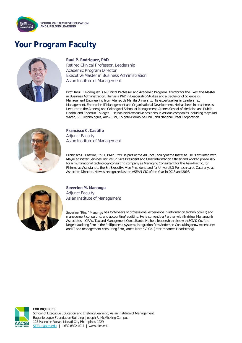

### **Your Program Faculty**



**Raul P. Rodriguez, PhD** Retired Clinical Professor, Leadership Academic Program Director Executive Master in Business Administration Asian Institute of Management

Prof. Raul P. Rodriguez is a Clinical Professor and Academic Program Director for the Executive Master in Business Administration. He has a PhD in Leadership Studies and a Bachelor of Science in Management Engineering from Ateneo de Manila University. His expertise lies in Leadership, Management, Enterprise IT Management and Organizational Development. He has been in academe as Lecturer in the Ateneo John Gokongwei School of Management, Ateneo School of Medicine and Public Health, and Enderun Colleges. He has held executive positions in various companies including Maynilad Water, SPI Technologies, ABS-CBN, Colgate-Palmolive Phil., and National Steel Corporation.



**Francisco C. Castillo** Adjunct Faculty Asian Institute of Management

Francisco C. Castillo, Ph.D., PMP, PfMP is part of the Adjunct Faculty of the Institute. He is affiliated with Maynilad Water Services, Inc. as Sr. Vice President and Chief Information Officer and worked previously for a multinational technology consulting company as Managing Consultant for the Asia-Pacific, for Phinma as Assistant to the Sr. Executive Vice President, and for Universität Politecnica de Catalunya as Associate Director. He was recognized as the ASEAN CIO of the Year in 2013 and 2016.



**Severino M. Manangu** Adjunct Faculty Asian Institute of Management

Severino "Rino" Manangu has forty years of professional experience in information technology (IT) and management consulting, and accounting/ auditing. He is currently a Partner with Endriga, Manangu & Associates - CPAs, Tax and Management Consultants. He held leadership roles with SGV & Co. (the largest auditing firm in the Philippines), systems integration firm Andersen Consulting (now Accenture), and IT and management consulting firm James Martin & Co. (later renamed Headstrong).



**FOR INQUIRIES:** School of Executive Education and Lifelong Learning, Asian Institute of Management Eugenio Lopez Foundation Building, Joseph R. McMicking Campus 123 Paseo de Roxas, Makati City Philippines 1229 [SEELL@aim.edu](mailto:SEELL@aim.edu) | +632 8892 4011 | www.aim.edu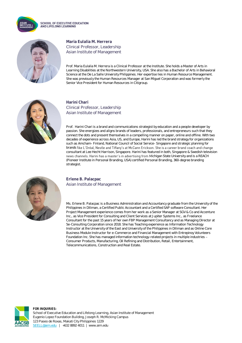

**SCHOOL OF EXECUTIVE EDUCATION** AND LIFELONG LEARNING



### **Maria Eulalia M. Herrera** Clinical Professor, Leadership Asian Institute of Management

Prof. Maria Eulalia M. Herrera is a Clinical Professor at the Institute. She holds a Master of Arts in Learning Disabilities at the Northwestern University, USA. She also has a Bachelor of Arts in Behavioral Science at the De La Salle University Philippines. Her expertise lies in Human Resource Management. She was previously the Human Resources Manager at San Miguel Corporation and was formerly the Senior Vice President for Human Resources in Citigroup.



### **Harini Chari** Clinical Professor, Leadership Asian Institute of Management

Prof. Harini Chari is a brand and communications strategist by education and a people developer by passion. She energizes and aligns brands of leaders, professionals, and entrepreneurs such that they connect the dots and present themselves in a compelling manner on paper, online and offline. With two decades of experience across Asia, US, and Europe, Harini has led the brand strategy for organizations such as Amcham- Finland, National Council of Social Service- Singapore and strategic planning for brands like L'Oréal, Nestle and Tiffany's at McCann Erickson. She is a career brand coach and change consultant at Lee Hecht Harrison, Singapore. Harini has featured in both, Singapore & Swedish television news channels. Harini has a master's in advertising from Michigan State University and is a REACH (Pioneer Institute in Personal Branding, USA) certified Personal Branding, 360-degree branding strategist.



#### **Erlene B. Palacpac** Asian Institute of Management

Ms. Erlene B. Palacpac is a Business Administration and Accountancy graduate from the University of the Philippines in Diliman, a Certified Public Accountant and a Certified SAP software Consultant. Her Project Management experience comes from her work as a Senior Manager at SGV & Co and Accenture Inc., as Vice President for Consulting and Client Services at Jupiter Systems Inc., as Freelance Consultant for the past 15 years of her own FBP Management Consultancy and as Managing Director at 5e-Consulting Corporation since 2018. She has Teaching experience as Information Technology Instructor at the University of the East and University of the Philippines in Diliman and as Online Core Business Module Instructor for e-Commerce and Financial Management with Entrepinoy Volunteers Foundation Inc. She has managed information technology-related projects in multiple industries Consumer Products, Manufacturing, Oil Refining and Distribution, Retail, Entertainment, Telecommunications, Construction and Real Estate.



**FOR INQUIRIES:** School of Executive Education and Lifelong Learning, Asian Institute of Management Eugenio Lopez Foundation Building, Joseph R. McMicking Campus 123 Paseo de Roxas, Makati City Philippines 1229 [SEELL@aim.edu](mailto:SEELL@aim.edu) | +632 8892 4011 | www.aim.edu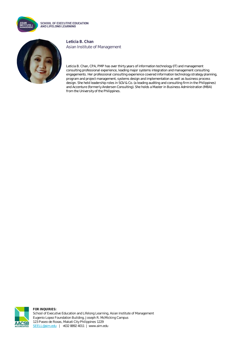

**SCHOOL OF EXECUTIVE EDUCATION** AND LIFELONG LEARNING



**Leticia B. Chan** Asian Institute of Management

Leticia B. Chan, CPA, PMP has over thirty years of information technology (IT) and management consulting professional experience, leading major systems integration and management consulting engagements. Her professional consulting experience covered information technology strategy planning, program and project management, systems design and implementation as well as business process design. She held leadership roles in SGV & Co. (a leading auditing and consulting firm in the Philippines) and Accenture (formerly Andersen Consulting). She holds a Master in Business Administration (MBA) from the University of the Philippines.



**FOR INQUIRIES:** School of Executive Education and Lifelong Learning, Asian Institute of Management Eugenio Lopez Foundation Building, Joseph R. McMicking Campus 123 Paseo de Roxas, Makati City Philippines 1229 [SEELL@aim.edu](mailto:SEELL@aim.edu) | +632 8892 4011 | www.aim.edu